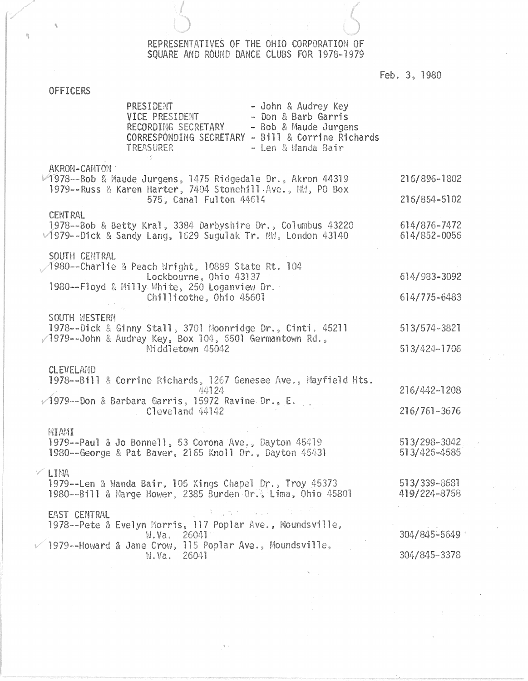## REPRESENTATIVES OF THE OHIO CORPORATION OF SQUARE AND ROUND DANCE CLUBS FOR 1978-1979

Feb. 3, 1980

# **OFFICERS**

 $\hat{\mathcal{H}}$ 

| PRESIDENT<br>- John & Audrey Key<br>VICE PRESIDENT<br>- Don & Barb Garris<br>RECORDING SECRETARY<br>- Bob & Maude Jurgens<br>CORRESPONDING SECRETARY - Bill & Corrine Richards<br>TREASURER<br>- Len & Manda Bair                                                                                                                                                                                                                                                                                                                                                                                                                                               |                              |
|-----------------------------------------------------------------------------------------------------------------------------------------------------------------------------------------------------------------------------------------------------------------------------------------------------------------------------------------------------------------------------------------------------------------------------------------------------------------------------------------------------------------------------------------------------------------------------------------------------------------------------------------------------------------|------------------------------|
| AKRON-CANTON<br>1978 -- Bob & Maude Jurgens, 1475 Ridgedale Dr., Akron 44319<br>1979 -- Russ & Karen Harter, 7404 Stonehill Ave., NW, PO Box<br>575, Canal Fulton 44614                                                                                                                                                                                                                                                                                                                                                                                                                                                                                         | 216/896-1802<br>216/854-5102 |
| <b>CENTRAL</b><br>1978--Bob & Betty Kral, 3384 Darbyshire Dr., Columbus 43220<br>$\sqrt{1979}$ --Dick & Sandy Lang, 1629 Sugulak Tr. NW, London 43140                                                                                                                                                                                                                                                                                                                                                                                                                                                                                                           | 614/876-7472<br>614/852-0056 |
| SOUTH CENTRAL<br>1980 -- Charlie & Peach Wright, 10889 State Rt. 104<br>Lockbourne, Ohio 43137<br>1980--Floyd & Milly White, 250 Loganview Dr.<br>Chillicothe, Ohio 45601                                                                                                                                                                                                                                                                                                                                                                                                                                                                                       | 614/983-3092<br>614/775-6483 |
| SOUTH WESTERN<br>1978--Dick & Ginny Stall, 3701 Moonridge Dr., Cinti. 45211<br>/1979--John & Audrey Key, Box 104, 6501 Germantown Rd.,<br>Middletown 45042                                                                                                                                                                                                                                                                                                                                                                                                                                                                                                      | 513/574-3821<br>513/424-1706 |
| <b>CLEVELAND</b><br>1978--Bill & Corrine Richards, 1267 Genesee Ave., Mayfield Hts.<br>44124<br>$\sqrt{1979}$ --Don & Barbara Garris, 15972 Ravine Dr., E.<br>Cleveland 44142                                                                                                                                                                                                                                                                                                                                                                                                                                                                                   | 216/442-1208<br>216/761-3676 |
| MIAMI<br>1979 -- Paul & Jo Bonnell, 53 Corona Ave., Dayton 45419<br>1980 -- George & Pat Baver, 2165 Knoll Dr., Dayton 45431                                                                                                                                                                                                                                                                                                                                                                                                                                                                                                                                    | 513/298-3042<br>513/426-4585 |
| $V$ LIMA<br>1979--Len & Wanda Bair, 105 Kings Chapel Dr., Troy 45373<br>1980--Bill & Marge Hower, 2385 Burden Dr., Lima, Ohio 45801                                                                                                                                                                                                                                                                                                                                                                                                                                                                                                                             | 513/339-8681<br>419/224-8758 |
| $\mathcal{V} = \frac{1}{2} \left[ \mathcal{V}_{\mathbf{p}} \left( \mathcal{V}_{\mathbf{p}} \right) \right] = \left[ \mathcal{V}_{\mathbf{p}} \left( \mathcal{V}_{\mathbf{p}} \right) \right] = \left[ \mathcal{V}_{\mathbf{p}} \left( \mathcal{V}_{\mathbf{p}} \right) \right] = \left[ \mathcal{V}_{\mathbf{p}} \left( \mathcal{V}_{\mathbf{p}} \right) \right] = \left[ \mathcal{V}_{\mathbf{p}} \left( \mathcal{V}_{\mathbf{p}} \right) \right] = \left[ \mathcal{V}_{\mathbf{p}} \left( \mathcal$<br>EAST CENTRAL<br>1978--Pete & Evelyn Morris, 117 Poplar Ave., Moundsville,<br>26041<br>W.Wa.<br>1979--Howard & Jane Crow, 115 Poplar Ave., Moundsville, | 304/845-5649                 |
| 26041<br>W.Va.                                                                                                                                                                                                                                                                                                                                                                                                                                                                                                                                                                                                                                                  | 304/845-3378                 |